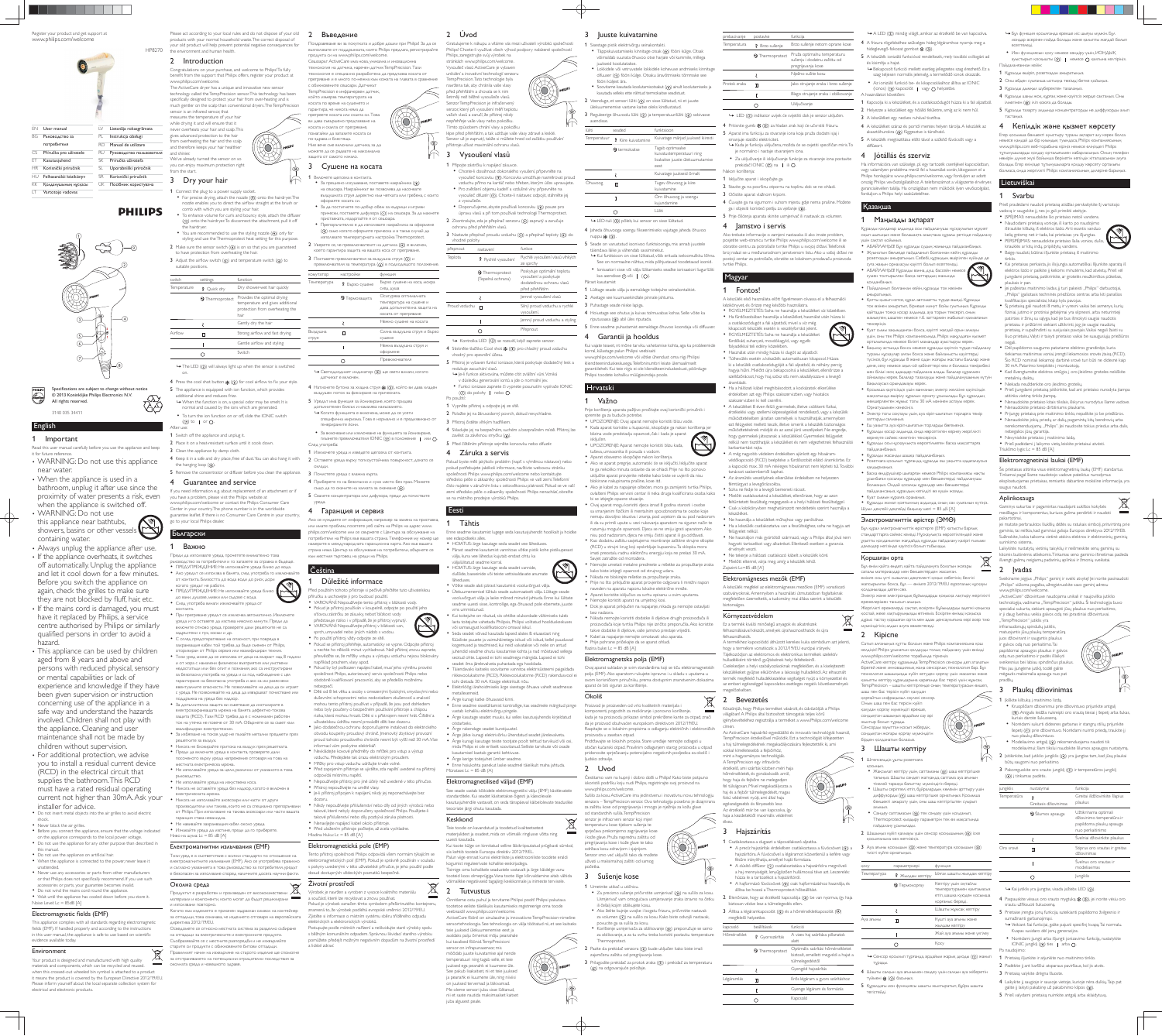English

- Read this user manual carefully before you use the appliance and keep it for future reference. WARNING: Do not use this appliance
- near water. • When the appliance is used in a
- bathroom, unplug it after use since the proximity of water presents a risk, even when the appliance is switched off.
- WARNING: Do not use this appliance near bathtubs, showers, basins or other vessels containing water. • Always unplug the appliance after use.
- If the appliance overheats, it switches off automatically. Unplug the appliance and let it cool down for a few minutes. Before you switch the appliance on again, check the grilles to make sure they are not blocked by fluff, hair, etc.
- If the mains cord is damaged, you must have it replaced by Philips, a service centre authorised by Philips or similarly qualified persons in order to avoid a hazard.
- This appliance can be used by children aged from 8 years and above and persons with reduced physical, sensory or mental capabilities or lack of experience and knowledge if they have been given supervision or instruction concerning use of the appliance in a safe way and understand the hazards involved. Children shall not play with the appliance. Cleaning and user maintenance shall not be made by children without supervision.
- For additional protection, we advise you to install a residual current device (RCD) in the electrical circuit that supplies the bathroom. This RCD must have a rated residual operating current not higher than 30mA. Ask your installer for advice.
- Do not insert metal objects into the air grilles to avoid electric shock. Never block the air grilles.
- Before you connect the appliance, ensure that the voltage indicated on the appliance corresponds to the local power voltage.
- Do not use the appliance for any other purpose than described in this manual. • Do not use the appliance on artificial hair.
- When the appliance is connected to the power, never leave it unattended. Never use any accessories or parts from other manufacturers
- or that Philips does not specifically recommend. If you use such accessories or parts, your guarantee becomes invalid. Do not wind the mains cord round the appliance.
- Wait until the appliance has cooled down before you store it. Noise Level: Lc = 85dB [A]

### Electromagnetic fields (EMF)

# 1 Important

Congratulations on your purchase, and welcome to Philips! To fully benefit from the support that Philips offers, register your product at www.philips.com/welcome

- 1 Connect the plug to a power supply socket. For precise drying, attach the nozzle  $(③)$  onto the hairdryer. The nozzle enables you to direct the airflow straight at the brush or comb with which you are styling your hair.
- To enhance volume for curls and bouncy style, attach the diffuser (1) onto the hairdryer. To disconnect the attachment, pull it off the hairdryer.  $\bullet$  You are recommended to use the styling nozzle  $( \circ )$  only for
- styling and use the Thermoprotect heat setting for this purpose. 2 Make sure the sensor switch  $(Q)$  is on so that you are guaranteed to have protection from overheating the hair.
- 3 Adjust the airflow switch  $(6)$  and temperature switch  $(6)$  to suitable positions.

This appliance complies with all standards regarding electromagnetic fields (EMF). If handled properly and according to the instructions in this user manual, the appliance is safe to use based on scientific evidence available today.

on. **4** Press the cool shot button  $\frac{dx}{dx}$  (3)) for cool airflow to fix your style.

- 5 The appliance is equipped with ion function, which provides additional shine and reduces frizz. » When the function is on, a special odor may be smelt. It is
- normal and caused by the ions which are generated. To turn the ion function on or off, slide the IONIC switch
- $(\circled{7})$  to | or  $\bigcirc$ . After use:
- 1 Switch off the appliance and unplug it. 2 Place it on a heat-resistant surface until it cools down.
- 3 Clean the appliance by damp cloth.
- 4 Keep it in a safe and dry place, free of dust. You can also hang it with the hanging loop  $(8)$ .
- 5 Remove the concentrator or diffuser before you clean the appliance.

# 4 Guarantee and service

### Environment

Your product is designed and manufactured with high quality **Contract** materials and components, which can be recycled and reused. when this crossed-out wheeled bin symbol is attached to a product it means the product is covered by the European Directive 2012/19/EU. Please inform yourself about the local separate collection system for electrical and electronic products.

∨₩

Please act according to your local rules and do not dispose of your old products with your normal household waste. The correct disposal of your old product will help prevent potential negative consequences for

### HP8270 the environment and human health. 2 Introduction

The ActiveCare dryer has a unique and innovative new sensor technology called the TempPrecision sensor. This technology has been specifically designed to protect your hair from over-heating and is much gentler on the scalp than conventional dryers. The TempPrecision sensor is an infrared sensor, that measures the temperature of your ha while drying it and will ensure that it

 $\theta$ 

never overheats your hair and scalp. This gives advanced protection to the hair from overheating the hair and the scalp and therefore keeps your hair healthier and shinier. We've already turned the sensor on so you can enjoy maximum protection right

3 Dry your hair

from the start.

If you need information e.g. about replacement of an attachment or if you have a problem, please visit the Philips website at www.philips.com/welcome or contact the Philips Consumer Care Center in your country.The phone number is in the worldwide guarantee leaflet. If there is no Consumer Care Centre in your country, go to your local Philips dealer.

# Ьългарски 1 Важно

- Преди да използвате уреда, прочетете внимателно това ръководство за потребителя и го запазете за справка в бъдеще • ПРЕДУПРЕЖДЕНИЕ: Не използвайте уреда близо до вода.
- Ако уредът се използва в банята, след употреба го изключвайте от контакта. Близостта до вода води до риск, дори когато уредът не работи.
- ПРЕДУПРЕЖДЕНИЕ: Не използвайте уреда близо до вани, душове, мивки или съдове с вода. • След употреба винаги изключвайте уреда от
- контакта. • При прегряване уредът се изключва автоматично. Изключете VDAA N TO OCTABATA A N3CTNBA HAKOAKO MNHVTN TIDANNA A
- включите отново уреда, проверете дали решетките не са ЗАДОЪСТЕНИ С ПУХ. КОСМИ И ДО. • С оглед предотвратяване на опасност, при повреда в захранващия кабел той трябва да бъде сменен от Philips,
- оторизиран от Philips сервиз или квалифициран техник • Този уред може да се използва от деца на възраст над 8 години и от хора с намалени физически възприятия или умствени BEAOCTATHIN MAM DES OUNT M DOSHAHMA ARO CA MHCTOVKTMDAHM за безопасна употреба на уреда и са под наблюдение с цел гарантиране на безопасна употреба и ако са им разяснени евентуалните опасности. Не позволявайте на деца да си играят
- с уреда. Не позволявайте на деца да извършват почистване или поддръжка на уреда без надзор. • За допълнителна защита ви съветваме да инсталирате в електрозахранващата мрежа на банята дефектно-токова защита (RCD). Тази RCD трябва да е с номинален работен ток на утечка не повече от 30 mA. Обърнете се за съвет към
- квалифициран електротехник • За избягване на токов удар не пъхайте метални предмети през Deшетките за въздух. • Никога не блокирайте притока на възлух през решетката
- Преди да включите уреда в контакта, проверете дали ПОСОЧЕНОТО ВЪРХУ УРЕДА НАПРЕЖЕНИЕ ОТГОВАРЯ НА ТОВА НА местната електрическа мрежа.
- Не използвайте уреда за цели, различни от указаното в това DЪКОВОДСТВО. • Не използвайте уреда на изкуствена коса.
- Никога не оставяйте уреда без надзор, когато е включен в електрическата мрежа.
- Никога не използвайте аксесоари или части от други ПООИЗВОДИТЕЛИ ИЛИ ТАКИВА, КОИТО НЕ СА СПЕЦИАЛНО ПОЕПОДЪЧВАНИ от Philips. При използване на такива аксесоари или части вашата гаранция става невалидна. • Не навивайте захранвашия кабел около уреда.
- Изчакайте уреда да изстине, преди да го приберете. Ниво на шума: Lc =  $85$  dB [A]

### Електромагнитни излъчвания (EMF)

Този уред е в съответствие с всички стандарти по отношение на електромагнитните излъчвания (ЕМF). Ако се употребява правилно и съгласно указанията в това ръководство за потребителя, уредът

#### е безопасен за използване според наличните досега научни факти. Околна среда  $\searrow$

- $\triangle$ Продуктът е разработен и произведен от висококачествени материали и компоненти, които могат да бъдат рециклирани и използвани повторно.
- Когато към изделието е прикачен задраскан символ на контейнер за отпадъци, това означава, че изделието отговаря на европейската директива 2012/19/EU.
- Осведомете се относно местната система за разделно събиране на отпадъци за електрическите и електронните продукти. Съобразявайте се с местните разпоредби и не изхвърляйте
- старите си продукти с обикновените битови отпадъци. Правилният начин на изхвърляне на старото изделие ще спомогне за отстраняването на потенциални отрицателни последствия за околната среда и човешкото здраве

#### 2 Въведение ваме ви за покупката и добре дошли при Philips! За да се

#### възползвате от поддръжката, която Philips предлага, регистрирайте продукта си на www.philips.com/welcome Сешоарът ActiveCare има нова, уникална и иновационн технология на датчика, наречен датчик TempPrecision. Тази гехнология е специално разработена да предпазва косата от прегряване и е много по-нежна към кожата на главата в сравнение

: обикновените сешоари. Датчикъ<mark>т</mark> TempPrecision е инфрачервен датчик, който измерва температурата на косата по време на сушенето и гарантира, че никога няма да прегреете косата или скалпа си. Това ви дава съвършено предпазване на косата и скалпа от прегряване,

омагайки да запазите косата си то-здрава и блестяща

Ние вече сме включили датчика, за да можете да се радвате на максимална защита от самото начало.

З Сушене на косата Включете щепсела в контакта.

оформяте косата си.

• За прецизно изсушаване, поставете накрайника () на сешоара. Накрайникът ви позволява да насочвате въздушната струя директно към четката или гребена, с които

• За да постигнете по-добър обем за къдрици и игриви прически, поставете дифузора (1) на сешоара. За да махнете

Препоръчително е да използвате накрайника за оформяне (®) само когато оформяте прическа и в такъв случай да използвате температурната настройка Thermoprotect. 2 Уверете се, че превключвателят на датчика  $(Q)$ ) е включен, което гарантира защита на вашата коса от прегряване. 3 Поставете превключвателя за възлушна струя (G) и

превключвателя за температура () в подходящото положени

• Светодиодният индикатор (2) ще свети винаги, когато

4 Натиснете бутона за хладна струя « (3), който ви дава хладен

специфична миризма. Това е нормално и е предизвикано <mark>от</mark>

• За включване или изключване на функцията за йонизиране, плъзнете превключвателя IONIC (7) в положение | или О.

4 Приберете го на безопасно и сухо място без прах. Можете СЪЩО ДА ГО ОКАЧИТЕ НА ХАЛКАТА ЗА ОКАЧВАНЕ (®). 5 Свалете концентратора или дифузора, преди да почиствате

Ако се нуждаете от информация, например за замяна на приставка, или имате проблем, посетете уеб сайта на Philips на адрес www hilips.com/welcome или се свържете с Центъра за обслужване на оебители на Philips във вашата страна. Телефонния му номер ще намерите в международната гаранционна карта. Ако във вашата страна няма Център за обслужване на потребители, обърнете се

Před použitím tohoto přístroje si pečlivě přečtěte tuto uživatelskou ve<sub>l</sub>te ji pro budouci pou vAROVÁNÍ: Nepoužívejte tento přístroj v blízkosti vody. • Pokud je přístroj používán v koupelně, odpojte po použití jeho síťovou zástrčku ze zásuvky neboť blízkost vody představuje riziko i v případě, že je přístroj vypnutý. • VAROVÁNÍ: Nepoužívejte přístroj v blízkosti van, sprch, umyvadel nebo jiných nádob s vodou. · Po použití přístroj vždy odpojte ze sítě.

• Pokud se přístroj přehřeje, automaticky se vypne. Odpojte přístroj a nechte ho několik minut vychladnout. Než přístroi znovu zapnete. přesvědčte se, že mřížky vstupu a výstupu vzduchu nejsou blokovány

• Pokud by byl poškozen napájecí kabel, musí jeho výměnu provést společnost Philips, autorizovaný servis společnosti Philips nebo obdobně kvalifikovaní pracovníci, aby se předešlo možnému

· Děti od 8 let věku a osoby s omezenými fyzickými, smyslovými nebo duševními schopnostmi nebo nedostatkem zkušeností a znalostí mohou tento přístroj používat v případě, že jsou pod dohledem nebo byly poučeny o bezpečném používání přístroje a chápou rizika, která mohou hrozit. Děti si s přístrojem nesmí hrát. Čištění a

uživatelskou údržbu nesmí provádět děti bez dozoru. · Jako dodatečnou ochranu doporučujeme instalovat do elektrického obvodu koupelny proudový chránič. | menovitý zbytkový provozní proud tohoto proudového chrániče nesmí být vyšší než 30 mA.Více

• Nevkládejte kovové předměty do mřížek pro vstup a výstup vzduchu. Předejdete tak úrazu elektrickým proudem · Mřížky pro vstup vzduchu udržujte trvale volné.

• Před zapojením přístroje se ujistěte, zda napětí uvedené na přístroji

• Nepoužívejte přístroj pro jiné účely než uvedené v této příručce.

• Nikdy nepoužívejte příslušenství nebo díly od jiných výrobců nebo takové, které nebyly doporučeny společností Philips. Použijete-li takové příslušenství nebo díly, pozbývá záruka platnosti.

Tento přístroj společnosti Philips odpovídá všem normám týkajícím se elektromagnetických polí (EMP). Pokud je správně používán v souladu s pokyny uvedenými v této uživatelské příručce, je jeho použití podle

Pokud je výrobek označen tímto symbolem přeškrtnutého kontejneru znamená to, že výrobek podléhá evropské směrnici 2012/19/EU. Zjistěte si informace o místním systému sběru tříděného odpadu

Postupujte podle místních nařízení a nelikvidujte staré výrobky spolu s běžným komunálním odpadem. Správnou likvidací starého výrobku pomůžete předejít možným negativním dopadům na životní prostředí

· Je-li přístroj připojen k napájení, nikdy jej neponechávejte bez

въздушен поток за фиксиране на прическата 5 Уредът има функция за йонизиране, която придава пълнителен блясък и намалява накъсването • Когато функцията е включена, може да се усети

1 Изключете уреда и изведете щепсела от контакта. 2 Оставете урела върху топлоустойчива повърхност, локато се

Силна въздушна струя и бързо

приставката, издърпайте я от сешоара.

комутатор настройки функция

датчикът е включен.

генерираните йони.

3 Почистете уреда с влажна кърпа.

4 Гаранция и сервиз

1 Důležité informace

například prachem, vlasy apod.

informací vám poskytne elektrikář.

odpovídá místnímu napětí.

Hladina hluku: Lc =  $85$  dB  $[A]$ 

Životní prostředí

a lidské zdraví

elektrických a elektronických výrobků.

|             |                           |                                                                                                            | 1101111111010<br>11451101111 |                            | $V$ , $V$ , $V$ , $V$ , $V$                                                                             |  |
|-------------|---------------------------|------------------------------------------------------------------------------------------------------------|------------------------------|----------------------------|---------------------------------------------------------------------------------------------------------|--|
| switch      | settings                  | function<br>Температура                                                                                    |                              |                            | Бързо сушене на коса, мокра                                                                             |  |
| Temperature | <b><i>R</i></b> Quick dry | Dry shower-wet hair quickly                                                                                |                              | ₹ Бързо сушене             | след душа                                                                                               |  |
|             | <b>2</b> Thermoprotect    | Provides the optimal drying<br>temperature and gives additional<br>protection from overheating the<br>hair |                              | $\mathfrak{D}$ Термозащита | Осигурява оптималната<br>температура на сушене и<br>дава допълнителна защита на<br>косата от прегряване |  |
|             |                           | Gently dry the hair                                                                                        |                              |                            | Нежно сушене на косата                                                                                  |  |
| Airflow     | п                         | Strong airflow and fast drying                                                                             | Въздушна<br>струя            | п                          | Силна въздушна струя и бърз<br>сушене                                                                   |  |
|             |                           | Gentle airflow and styling                                                                                 |                              |                            | Нежна въздушна струя и                                                                                  |  |
|             | ∩                         | Switch                                                                                                     |                              |                            | оформяне                                                                                                |  |
|             |                           |                                                                                                            | ( )                          | Превключвателя             |                                                                                                         |  |
|             |                           | $\rightarrow$ The LED ((2)) will always light up when the sensor is switched                               |                              |                            |                                                                                                         |  |

ochranu před přehřátím vlasů. 3 Nastavte přepínač proudu vzduchu (S) a přepínač teploty (6) do vhodné polohy. přepnout <sub>nastavení</sub> funkce Teplota Rychlé vysoušení Rychlé vysoušení vlasů vlhkých ze sprchy

- Enne seadme kasutamist lugege seda kasutusjuhendit hoolikalt ja hoidke see edaspidiseks alles.
- HOIATUS: ärge kasutage seda seadet vee läheduses. Pärast seadme kasutamist vannitoas võtke pistik kohe pistikupesast välja, kuna vee lähedus kujutab endast ohtu ka
- väljalülitatud seadme korral. HOIATUS: ärge kasutage seda seadet vannide, duššide, basseinide või teiste vettsisaldavate anumat läheduses.
- Võtke seade alati pärast kasutamist vooluvõrgust välja. Ülekuumenemisel lülitub seade automaatselt välja. Lülitage seade vooluvõrgust välja ja laske mõned minutid jahtuda. Enne kui lülitate seadme uuesti sisse, kontrollige, ega õhuavad pole ebemete, juuste
- vms ummistunud. • Kui toitejuhe on rikutud, siis ohtlike olukordade vältimiseks tuleb lasta toitejuhe vahetada Philipsis, Philipsi volitatud hoolduskeskuses
- või samasugust kvalifikatsiooni omaval isikul. Seda seadet võivad kasutada lapsed alates 8. eluaastast ning füüsiliste puuete ja vaimuhäiretega isikud või isikud, kellel puuduvad kogemused ja teadmised, kui neid valvatakse või neile on antud juhendid seadme ohutu kasutamise kohta ja nad mõistavad sellega
- seotud ohte. Lapsed ei tohi seadmega mängida. Lapsed ei tohi seadet ilma järelevalveta puhastada ega hooldada. Täiendavaks kaitseks soovitame vannitoa elektrisüsteemi paigaldada
- rikkevoolukaitsme (RCD). Rikkevoolukaitsme (RCD) rakendusvool ei tohi ületada 30 mA. Küsige elektrikult nõu. • Elektrilöögi ärahoidmiseks ärge sisestage õhuava vahelt seadmesse metallesemeid.
- Ärge kunagi katke õhuavasid kinni.

• Enne seadme sisselülitamist kontrollige, kas seadmele märgitud pinge astab kohaliku elektrivõrgu pingele. Ärge kasutage seadet muuks, kui selles kasutusjuhendis kirjeldatud otstarbeks.

See seade vastab kõikidele elektromagnetilisi välju (EMF) käsitlevatele standarditele. Kui seadet käsitsetakse õigesti ja käesolevale kasutusjuhendile vastavalt, on seda tänapäeval käibelolevate teaduslike

Täppiskuivatamiseks kinnitage otsak ((9)) fööni külge. Otsak võimaldab suunata õhuvoo otse harjale või kammile, millega juukseid koolutatakse.

 Lokkidele või vetruvatele lokkidele kohevuse andmiseks kinnitage difuuser (1) fööni külge. Otsaku äravõtmiseks tõmmake see fööni küljest ära. **Soovitame kasutada koolutamisotsakut (?)) ainult koolutamiseks ja** 

3 Reguleerige õhuvoolu lüliti (5) ja temperatuurilüliti (6) sobivasse asendisse.

5 Seade on varustatud ioonivoo funktsiooniga, mis annab juustele täiendava läike ja vähendab sassiminekut » Kui funktsioon on sisse lülitatud, võib erituda iseloomulikku lõhna.

kas asendisse  $\oslash$  või |  $\circ$ . Pärast kasutamist 1 Lülitage seade välja ja eemaldage toitejuhe seinakontaktist.

2 Asetage see kuumusekindlale pinnale jahtuma. 3 Puhastage seade niiske lapiga.

4 Hoiustage see ohutus ja kuivas tolmuvabas kohas. Selle võite ka riputusaasa (®) abil üles riputada.

# 5 Enne seadme puhastamist eemaldage õhuvoo koondaja või diffuuser

4 Garantii ia hooldus

Kui vajate teavet, nt mõne tarviku vahetamise kohta, aga ka probleemide korral, külastage palun Philipsi veebisaiti ww.philips.com/welcome või võtke ühendust oma riigi Philipsi

klienditeeninduskeskusega. Telefoninumbri leiate ülemaailmselt garantiilehelt. Kui teie riigis ei ole klienditeeninduskeskust, pöörduge

uključite aparat provjerite rešetke kako biste se uvjerili da nisu okirane nakupinama prašine, kose itd. • Ako je kabel za napajanje oštećen, mora ga zamijeniti tvrtka Philips, ovlašteni Philips servisni centar ili neka druga kvalificirana osoba kako bi se izbjegle opasne situacije.

mati preostalu radnu električnu energiju koja ne prelazi 30 mA. Savjet zatražite od montažera. Nemojte umetati metalne predmete u rešetke za propuštanje zraka ako biste izbjegli opasnost od strujnog udara. Nikada ne blokirajte rešetke za propuštanje zraka.

• Prije no što priključite aparat provjerite odgovara li mrežni napor naveden na aparatu naponu lokalne električne mreže. Aparat koristite isključivo za svrhu opisanu u ovim upu Nemojte koristiti aparat na umjetnoj kosi.

· Dok je aparat priključen na napajanje, nikada ga nemojte ostavljati bez nadzora. 1 Nikada nemojte koristiti dodatke ili dijelove drugih proizvođača ili proizvođača koje tvrtka Philips nije izričito preporučila. Ako koristite

takve dodatke ili dijelove, vaše jamstvo prestaje vrijediti. Kabel za napajanje nemojte omotavati oko aparata. Prije pohrane pričekajte da se aparat ohladi. Razina buke:  $Lc = 85 dB [A]$ 

#### Elektromagnetska polja (EMF)

Ovai aparat sukladan je svim standardima koji se tiču elektromagnetskih polia (EMF). Ako aparatom rukujete ispravno i u skladu s uputama u ovom korisničkom priručniku, prema dostupnim znanstvenim dokazima aparat će biti siguran za korištenje

# Okoliš

 $\bigtriangledown$ Proizvod je proizveden od vrlo kvalitetnih materijala i komponenti, pogodnih za recikliranje i ponovno korištenje.  $\sim 10$ kada je na proizvodu prikazan simbol prekrižene kante za otpad, znači da je proizvod obuhvaćen europskom direktivom 2012/19/EU. Raspitajte se o lokalnim propisima o odlaganju električnih i elektroničkih

proizvoda u zaseban otpad. Pridržavajte se lokalnih propisa. Stare uređaje nemojte odlagati u običan kućanski otpad. Pravilnim odlaganjem starog proizvoda u otpad

pridonosite sprječavanju potencijalno negativnih posljedica za okoliš i ljudsko zdravlje.

# 7 Uvod

Čestitamo vam na kupnji i dobro došli u Philips! Kako biste potpuno iskoristili podršku koju nudi Philips, registrirajte svoj proizvod na www.philips.com/welcome

Sušilo za kosu ActiveCare ima jedinstvenu i inovativnu novu tehnologiju senzora – TempPrecision senzor. Ova tehnologija posebno je dizajnirana za zaštitu kose od pregrijavanja i mnogo je nježnija za kožu glave

od standardnih sušila. TempPrecision senzor je infracrveni senzor koji mjeri temperaturu kose tijekom sušenja te sprječava prekomjerno zagrijavanje kose kože glave. Pruža naprednu zaštitu od pregrijavanja kose i kože glave te tako održava kosu zdravijom i sjajnijom. Senzor smo već uključili tako da možete uživati u maksimalnoj zaštiti od samog

# 3 Sušenje kose

početka.

1 Umetnite utikač u utičnicu. · Za precizno sušenje pričvrstite usmjerivač (⑨) na sušilo za kosu. Usmjerivač vam omogućava usmjeravanje zraka izravno na četku ili češalj kojim oblikujete kosu.

 $\blacksquare$ Ako želite bujnije uvojke i bogatu frizuru, pričvrstite nastavak za volumen (1) na sušilo za kosu. Kako biste odvojili nastavak, povucite ga sa sušila za kosu.

Korištenje usmjerivača za oblikovanje ((9)) preporučuje se samo za oblikovanje, a za tu svrhu treba koristiti postavku temperature Thermoprotect.

 $2$  Pazite da prekidač senzora  $(4)$  bude uključen kako biste imali zajamčenu zaštitu od pregrijavanja kose. 3 Prilagodite prekidač za protok zraka (G) i prekidač za temperaturu (6) na odgovarajuće položaje.

dozoru.

· Přístroj nepoužívejte na umělé vlasy.

• Nenavíjejte napájecí kabel okolo přístroje • Před uložením přístroje počkejte, až zcela vychladne.

Elektromagnetická pole (EMP)

dosud dostupných vědeckých poznatků bezpečné.

Výrobek je navržen a vyroben z vysoce kvalitního materiálu a součástí, které lze recyklovat a znovu používat.

nebezpečí.

стния търговец на уреди на Philips

След употреба:

ОХЛЯЛИ.

уреда.

 $\overline{C}$ eština



Senzor už je zapnutý, takže si můžete hned od začátku používání .<br>Sřístroje užívat maximální ochranu vlasů 3 Vysoušení vlasů

2 Úvod

Philips, zaregistrujte svůj výrobek na stránkách www.philips.com/welcom Vysoušeč vlasů ActiveCare je vybaver unikátní a inovativní technologií senzoru TempPrecision. Tato technologie byla havržena tak, aby chránila vaše vlasy před přehřátím a chovala se k nim .<br>Heli než běžné vysoušeče vlasů SenzorTempPrecision je infračervený senzor, který při vysoušení měří teplotu vašich vlasů a zaručí, že přístroj nikdy nepřehřeje vaše vlasy nebo pokožku ímto způsobem chrání vlasy a pokožku

# 1 Připojte zástrčku k napájecí zásuvce.

- · Chcete-li dosáhnout dokonalého vysušení, připevněte na vysoušeč koncovku (⑨). Koncovka umožňuje nasměrovat proud vzduchu přímo na kartáč nebo hřeben, kterým účes upravujete. · Pro zvětšení objemu kadeří a vzdušné vlny připevněte na vysoušeč difuzér (1)). Chcete-li nástavec odpojit, stáhněte jej
- z vysoušeče. · Doporučujeme, abyste používali koncovku ((9) pouze pro

Gratuluieme k nákupu a vítáme vás mezi uživateli výrobků společnosti Philips! Chcete-li využívat všech výhod podpory nabízené společností

úpravu vlasů a při tom používali technologii Thermoprotect.  $2$  Zkontrolujte, zda je přepínač senzoru  $(4)$  zapnutý a zaručuje

lépe před přehřátím, a tak udržuje vaše vlasy zdravé a lesklé.

|               | <b>D</b> Thermoprotect<br>(Tepelná ochrana)                       | Poskytuje optimální teplotu<br>vysoušení a poskytuje<br>dodatečnou ochranu vlasů<br>před přehřátím |
|---------------|-------------------------------------------------------------------|----------------------------------------------------------------------------------------------------|
|               |                                                                   | Jemné vysoušení vlasů                                                                              |
| Proud vzduchu | π                                                                 | Silný proud vzduchu a rychlé<br>vysoušení.                                                         |
|               |                                                                   | lemný proud vzduchu a styling                                                                      |
|               |                                                                   | Přepnout                                                                                           |
|               | $\rightarrow$ Kontrolles LED $(2)$ se mass it kdvž zapnete senzor |                                                                                                    |

 $\leftrightarrow$  Kontrolka LED  $(\mathfrak{D})$  se rozsvítí, když zapnete senzor. 4 Stiskněte tlačítko Cool shot  $\frac{dx}{dx}$  (3) pro chladný proud vzduchu vhodný pro zpevnění účesu.

- 5 Přístroj je vybaven funkcí ionizace, která poskytuje dodatečný lesk a redukuie zacuchání vlasů.
- → le-li funkce aktivována, můžete cítit zvláštní vůni. Vzniká v důsledku generování jontů a ide o normální jev. • Funkci ionizace zapnete či vypnete posunutím vypínače IONIC
- $\mathcal{O}$  do polohy | nebo  $\mathcal{O}$ .
- Po použití: 1 Vypněte přístroj a odpojte jej ze sítě.
- 2 Položte jej na žáruvzdorný povrch, dokud nevychladne.
- 3 Přístroj čistěte vlhkým hadříkem.
- 4 Skladujte jej na bezpečném, suchém a bezprašném místě. Přístroj lze
- zavěsit za závěsnou smyčku (8)). 5 Před čištěním přístroje sejměte koncovku nebo difuzér.

#### 4 Záruka a servis

Pokud byste měli jakýkoliv problém (např. s výměnou nástavce) nebo pokud potřebujete jakékoli informace, navštivte webovou stránku polečnosti Philips www.philips.com/welcome nebo kontaktujte středisko péče o zákazníky společnosti Philips ve vaší zemi. Telefonní číslo najdete v záručním listu s celosvětovou platností. Pokud se ve vaší zemi středisko péče o zákazníky společnosti Philips nenachází, obraťte se na místního prodejce výrobků Philips

prebacivanje postavke funkcija Temperatura Renzo sušenje Brzo sušenje netom oprane kose **2** Thermoprotect Pruža optimalnu temperaturu sušenja i dodatnu zaštitu od pregrijavanja kose Nježno sušite kosu Protok zraka  $\mathbf{\Pi}$  Jako strujanje zraka i brzo sušenje Blago strujanje zraka i oblikovanje Uključivanje  $\circ$ → LED (2) indikator uvijek će svijetliti dok je senzor uključen.  $\blacksquare$  4 Pritisnite gumb  $\frac{dx}{dt}$  (3) za hladan zrak koji će učvrstiti frizuru. - 5 Aparat ima funkciju za stvaranje iona koja pruža dodatni sjaj i smanjuje statički elektricitet.

→ Kada je funkcija uključena, možda će se osjetiti specifičan miris. To je normalno i nastaje stvaranjem iona. · Za uključivanje ili isključivanje funkcije za stvaranje iona postavite

- prekidač IONIC  $(2)$  na | ili  $\overline{O}$ . Nakon korištenja:
- 1 Isključite aparat i iskopčajte ga.
- 2 Stavite ga na površinu otpornu na toplinu dok se ne ohladi.  $-$  3 Očistite aparat vlažnom krpom
- 4 Čuvajte ga na sigurnom i suhom mjestu gdje nema prašine. Možete
- ga i objesiti koristeći petlju za vješanje (®).  $-$  5 Prije čišćenja aparata skinite usmjerivač ili nastavak za volumen.

# Eesti 1 Tähtis

Ärge rakendage seadet kunstjuustel.

 Ärge jätke kunagi elektrivõrku ühendatud seadet järelevalveta. Ärge kunagi kasutage teiste tootjate poolt tehtud tarvikuid või osi, mida Philips ei ole eriliselt soovitanud. Selliste tarvikute või osade

• Enne hoiukohta panekut laske seadmel täielikult maha jahtuda.

kasutamisel kaotab garantii kehtivuse. Ärge kerige toitejuhet ümber seadme.

Elektromagnetilised väljad (EMF)

teooriate järgi ohutu kasutada.

Keskkond

Teie toode on kavandatud ja toodetud kvaliteetsetest materjalidest ja osadest, mida on võimalik ringlusse võtta ning

siis kehtib tootele Euroopa direktiiv 2012/19/EL

uuesti kasutada.

2 Tutvustus

 $\lambda$ 

Kui toote külge on kinnitatud selline läbikriipsutatud prügikasti sümbol,

Palun viige ennast kurssi elektriliste ja elektrooniliste toodete eraldi

kogumist reguleerivate kohalike eeskirjadega.

veebisaidil www.philips.com/welcome.

Toimige oma kohalikele seadustele vastavalt ja ärge käidelge vanu tooteid koos olmeprügiga. Vana toote õige kõrvaldamine aitab vältida võimalikke negatiivseid tagajärgi keskkonnale ja inimeste tervisele.

Õnnitleme ostu puhul ja tervitame Philipsi poolt! Philipsi pakutava tootetoe eeliste täielikuks kasutamiseks registreerige oma toode

ActiveCare föönil on ainulaadne ja innovatiivneTempPrecision-nimeline ensortehnoloogia. See tehnoloogia on välja töötatud nii, et see kaitseks

### 3 Juuste kuivatamine

lüliti

teie juukseid ülekuumenemise eest ja avaldaks palju õrnemat mõju peanahale kui tavalised föönid. TempPrecisioni ensor on infrapunasensor, mis mõõdab juuste kuivatamise ajal nende temperatuuri ning tagab selle, et teie juuksed ega peanahk ei kuumene üle. See pakub lisakaitset, nii et teie juuksed ja peanahk ei kuumene üle, ning niiviisi on juuksed tervemad ja läikivamad. Me oleme sensori juba sisse lülitanud, nii et saate nautida maksimaalset kaitset

Müratase: Lc =  $85$  dB (A)

juba algusest peale.

#### 1 Sisestage pistik elektrivõrgu seinakontakti.

Šis prietaisas atitinka visus elektromagnetinių laukų (EMF) standartus. Tinkamai pagal šiame naudotojo vadove pateiktus nurodymus eksploatuojamas prietaisas, remiantis dabartine moksline informacija, yra

saugus naudoti. Aplinkosauga

jei matote perbrauktos šiukšlių dėžės su ratukais simbolį, pritvirtintą prie gaminio, tai reiškia, kad gaminiui galioja Europos direktyva 2012/19/EB. Sužinokite, kokia taikoma vietinė atskira elektros ir elektroninių gaminių

Laikykitės nustatytų vietinių taisyklių ir neišmeskite senų gaminių su kitomis buitinėmis atliekomis. Tinkamas seno gaminio išmetimas padeda išvengti galimų neigiamų padarinių aplinkai ir žmonių sveikatai.

Sveikiname įsigijus "Philips" gaminį ir sveiki atvykę! Jei norite pasinaudoti "Philips" siūloma pagalba, užregistruokite savo gaminį adresu

technologija, vadinama "TempPrecision" jutiklju. Ši technologija buvo specialiai sukurta, siekiant apsaugoti jūsų plaukus nuo perkaitimo, ir ji daug švelniau veikia galvos odą nei įprastiniai džiovintuvai.

· Kruopščiam džiovinimui prie džiovintuvo prijunkite antgalj  $(9)$ . Antealis leidžia nukreipti oro srauta tiesiai i šepeti arba šukas.

• Modeliavimo antgalj (?) rekomenduojama naudoti tik modeliavimui; šiam tikslui naudokite šilumos apsaugos nustatymą.  $2$  Įsitikinkite, kad jutiklio jungiklis  $\left(\overline{4}\right)$  yra įjungtas tam, kad jūsų plaukai

3 Pakoreguokite oro srauto jungiklį (5) ir temperatūros jungiklį

Greitai išdžiovinkite šlapius

džiovinimo temperatūra ir napildoma plaukų apsauga nuo perkaitinimo Švelniai džiovinkite plaukus

kasutada selleks ette nähtud termokaitse seadistust. (eenduge, et sensori lüliti (4) on sisse lülitatud, nii et juuste ülekuumenemise vastane kaitse oleks kindlustatud.

| lüliti      | seaded                                                                                   | funktsjoon                                                                                |
|-------------|------------------------------------------------------------------------------------------|-------------------------------------------------------------------------------------------|
| Temperatuur | $\ell$ Kiire kuivatamine                                                                 | Kuivatage märjad juuksed kiiresti                                                         |
|             | $\mathfrak{D}% _{T}=\mathfrak{D}_{T}\!\left( a,b\right) ,\ \mathfrak{D}_{T}$ termokaitse | Tagab optimaalse<br>kuivatustemperatuuri ning<br>lisakaitse juuste ülekuumutamise<br>eest |
|             |                                                                                          | Kuivatage juukseid õrnalt                                                                 |
| Õhuvoog     | π                                                                                        | Tugev õhuvoog ja kiire<br>kuivatamine                                                     |
|             | T                                                                                        | Orn õhuvoog ja soengu<br>kujundamine                                                      |
|             |                                                                                          | Lüliti                                                                                    |

 $\rightarrow$  LED-tuli ( $\alpha$ ) põleb, kui sensor on sisse lülitatud.

4 Jaheda õhuvooga soengu fikseerimiseks vajutage jaheda õhuvoo nuppu ※ (3).

See on normaalne nähtus, mida põhjustavad toodetavad ioonid. Ionisaatori sisse või välja lülitamiseks seadke ionisaatori liugurlüliti

> džiovinimas Švelnus oro srautas ir modeliavimas Jungiklis

**19** Šilumos apsauga <sup>Užtikrinama optimali</sup>

 $2\sigma$  oro srove  $\mathbf{I}$   $\mathbf{I}$  and  $\mathbf{I}$  stiprus oro srautas ir greitas

4 Paspauskite vėsaus oro srauto mygtuką  $\frac{4\pi}{3}$  (3), jei norite vėsiu oro

 $\rightarrow$  Veikiant šiai funkcijai, galite pajusti specifinį kvapą. Tai normalu.

• Norėdami įjungti arba išjungti jonizavimo funkciją, nustatykite

4 Laikykite jį saugioje ir sausoje vietoje, kurioje nėra dulkių. Taip pat

5 Prietaise įrengta jonų funkcija, suteikianti papildomo žvilgesnio ir

#### Register your product and get support at www.philips.com/welcome

Philipsi toodete kohaliku müügiesindaja poole. Hrvatski

## 1 Važno

Prije korištenja aparata pažljivo pročitajte ovaj korisnički priručnik i spremite ga za buduće potrebe

· UPOZORENJE: Ovaj aparat nemojte koristiti blizu vode. · Kada aparat koristite u kupaonici, iskopčajte ga nakon korištenja je blizina vode predstavlja opasnost, čak i kada je aparat isključen.<br>• UPOZORENJE: Aparat nemojte koristiti blizu kada,

tuševa, umivaonika ili posuda s vodom. Aparat obavezno iskopčajte nakon korištenja · Ako se aparat pregrije, automatski će se isključiti. Isključite aparat te ga nekoliko minuta ostavite da se ohladi. Prije no što ponovo

 Ovaj aparat mogu koristiti djeca iznad 8 godina starosti i osobe sa smanjenim fizičkim ili mentalnim sposobnostima te osobe koje nemaju dovoljno iskustva i znanja, pod uvjetom da su pod nadzorom ili da su primili upute u vezi rukovanja aparatom na siguran način te razumiju moguće opasnosti. Djeca se ne smiju igrati aparatom. Ako nisu pod nadzorom, dieca ne smiju čistiti aparat ili ga održavati. Kao dodatnu zaštitu savjetujemo montiranje zaštitne strujne sklopke (RCD) u strujni krug koji opskrbljuje kupaonicu. Ta sklopka mora

## 4 Jamstvo i servis

Ako trebate informacije o zamjeni nastavaka ili ako imate problem, posjetite web-stranicu tvrtke Philips www.philips.com/welcome ili se obratite centru za potrošače tvrtke Philips u svojoj državi.Telefonski broj nalazi se u međunarodnom jamstvenom listu. Ako u vašoj državi ne postoji centar za potrošače, obratite se lokalnom prodavaču proizvoda tvrtke Philips.

# Magyar

### 1 Fontos!

- A készülék első használata előtt figyelmesen olyassa el a felhasználói kézikönyvet, és őrizze meg későbbi használatra. • FIGYELMEZTETÉS: Soha ne használja a készüléket víz közelében
- Ha fürdőszobában használia a készüléket, használat után húzza ki a csatlakozódugót a fali alizatból, mivel a víz még kikancsolt készülék esetén is veszélyforrást jelent • FIGYELMEZTETÉS: Soha ne használia a készüléket fürdőkád. zuhanyzó, mosdókagyló, vagy egyéb
- folyadékkal teli edény közeléber • Használat után mindig húzza ki dugót az aljzatból. • Túlbevülés esetén a készülék automatikusan kikancsol. Húzzaki a készülék csatlakozódugóját a fali aljzatból, és néhány percig hagyja hűlni. Mielőtt újra bekapcsolná a készüléket, ellenőrizze a
- szellőzőrácsot, hogy haj, szösz stb. nem akadályozza-e a levegő áramlását. Ha a hálózati kábel meghibásodott, a kockázatok elkerülése érdekében azt egy Philips szakszervizben, vagy hivatalos szakszervizben ki kell cserélni · A készüléket 8 éven felüli gyermekek, illetve csökkent fizikai
- érzékelési vagy szellemi képességekkel rendelkező, vagy a készülék működtetésében járatlan személyek is használhatiák, amennyiben ezt felügyelet mellett teszik, illetye ismerik a készülék biztonságos működtetésének módiát és az azzal járó veszélyeket. Ne engedje, hogy gyermekek játsszanak a készülékkel. Gyermekek felügvelet
- nélkül nem tisztíthatják a készüléket és nem végezhetnek felhasználói karbantartást raita. A még nagyobb védelem érdekében ajánlott egy hibaáram-
- védőkapcsoló (RCD) beépítése a fürdőszobát ellátó áramkörbe. Ez a kapcsoló max. 30 mA névleges hibaáramot nem lépheti túl. További tanácsot szakembertől kaphat • Az áramütés veszélvének elkerülése érdekében ne helyezzer
- fémtárgyat a levegőrácsokba. • Soha ne fedje le a levegő bemeneti rácsot. OMielőtt csatlakoztatná a készüléket, ellenőrizze, hogy az azon
- feltüntetett feszültség megegyezik-e a helyi hálózati feszültséggel. · Csak a kézikönyvben meghatározott rendeltetés szerint használja a készüléket
- Ne használja a készüléket műhajhoz vagy parókához. • Ha a készülék csatlakoztatva van a feszültséghez, soha ne hagyja azt felügyelet nélkül.
- Ne használjon más gyártótól származó, vagy a Philips által jóvá nem hagyott tartozékot vagy alkatrészt. Ellenkező esetben a garancia érvényét veszti.

#### • Ne tekerje a hálózati csatlakozó kábelt a készülék köré • Mielőtt eltenné, várja meg, amíg a készülék lehűl. Zaiszint: Lc=85 dB [A]

# Elektromágneses mezők (EMF)

A készülék megfelel az elektromágneses mezőkre (EMF) vonatkozó szabványoknak. Amennyiben a használati útmutatóban foglaltaknak negfelelően üzemeltetik, a tudomány mai állása szerint a készülél biztonságos.

#### Környezetvédelem

Ez a termék kiváló minőségű anyagok és alkatrészek felhasználásával készült, amelyek újrahasznosíthatók és újra

felhasználhatók. A termékhez kapcsolódó áthúzott kerekes kuka szimbólum azt jelenti, hogy a termékre vonatkozik a 2012/19/EU európai irányelv. Tájékozódjon az elektromos és elektronikus termékek szelektív nulladékként történő gyűjtésének helyi feltételeiről. Cselekedjen a helyi szabályozásoknak megfelelően, és a kiselejtezet készülékeket gyűjtse elkülönítve a lakossági hulladéktól. Az elhasznált

termék megfelelő hulladékkezelése segítséget nyújt a környezettel és az emberi egészséggel kapcsolatos esetleges negatív következmények negelőzésében 2 Bevezetés

Köszönjük, hogy Philips terméket vásárolt, és üdvözöljük a Philips világában! A Philips által biztosított támogatás teljes körű génybevételéhez regisztrálja a terméket a www.Philips.com/welcome címen.

Az ActiveCare hajszárító egyedülálló és innovatív technológiát használ. TempPrecision érzékelővel működik. Ezt a technológiát kifejezetten a haj túlmelegedésének megakadályozására fejlesztették ki, ami

sokkal kíméletesebb a fejbőrhöz, mint a hagyományos technológiák. A TempPrecision egy infravörös érzékelő, ami szárítás közben méri haja hőmérsékletét, és gondoskodik arról, hogy haja és fejbőre ne melegedjen fel túlságosan. Mivel megakadályozza a haj és a fejbőr túlmelegedését, magas fokú védelmet nyújt, ami által haja egészségesebb és fényesebb lesz.

Az érzékelő már be van kapcsolva, így haja a kezdetektől maximális védelmet élvez.

# Hajszárítás

- 1 Csatlakoztassa a dugaszt a tápcsatlakozó aljzatba.  $\bullet$  A precíz hajszárítás érdekében csatlakoztassa a fúvócsövet ( $\circ$ ) a haiszárítóra. A fúvócsővel a légáramot közvetlenül a kefére vagy
- fésűre irányíthatja, amellyel haját formázza. • A dúsító diffúzor (1) csatlakoztatása a hajszárítóra megnöveli a haj mennyiségét, lenyűgözően hullámossá téve azt. Leszerelés:
- húzza le a tartozékot a haiszárítóról. • A haiformázó fúvócsövet (?)) csak hajformázáshoz használja, és állítsa be hozzá a Thermoprotect hőbeállítást
- $2$  Ellenőrizze, hogy az érzékelő kapcsolója  $(\overline{4})$  be van nyomva, így haja biztosan védve lesz a túlmelegedés ellen.

|             |                                                                                            | DIZLOSAN VEUVE IESZ A LUINTIEIEGEUES EIIEN. |                                                                                              |  |  |  |
|-------------|--------------------------------------------------------------------------------------------|---------------------------------------------|----------------------------------------------------------------------------------------------|--|--|--|
| 3           | Állítsa a légáramkapcsolót $(G)$ ) és a hőmérsékletkapcsolót $(G)$<br>megfelelő helyzetbe. |                                             |                                                                                              |  |  |  |
|             | kapcsoló                                                                                   | beállítások                                 | funkció                                                                                      |  |  |  |
| Hőmérséklet |                                                                                            | <i><b>&amp;</b></i> Gyorsszárítás           | A vizes haj szárítása pillanatok<br>alatt                                                    |  |  |  |
|             |                                                                                            | <b>D</b> Thermoprotect                      | Optimális szárítási hőmérsékletet<br>biztosít, emellett megvédi a hajat a<br>túlmelegedéstől |  |  |  |
|             |                                                                                            |                                             | Gyengéd hajszárítás                                                                          |  |  |  |

Légáramlás  $\prod$  Erős légáram a gyors szárításhoz

 $\circ$ 

Kapcsoló

Gyenge légáram és formázás

#### $\mapsto$  A LED (2) mindig világít, amikor az érzékelő be van kapcsolva. 4 A frizura rögzítéséhez szükséges hideg légáramhoz nyomja meg a

**→** Бұл функция қосылғанда ерекше иіс шығуы мүмкін. Бұл иондар әсерінен пайда болады және қалыпты жағдай болып

• Ион функциясын қосу немесе сөндіру үшін, ИОНДЫҚ ауыстырып қосқышты  $(\overline{O})$  | немесе  $O$  қалпына келтіріңіз

4 Кұралды шаңы жоқ, құрғақ және қауіпсіз жерде сақтаңыз. Оны

5 Куралды тазарту алдында концентраторды не диффузорды алы

4 Кепілдік және қызмет көрсету Егер қосымша бөлшекті ауыстыру туралы ақпарат алу керек болса немесе қандай да бір қиындық туындаса, Philips компаниясынын www.philips.com веб-торабына кіріңіз немесе еліңіздегі Philips тұтынушыларды қолдау орталығымен хабарласыңыз, Оның телефон иірін дүние жүзі бойынша берілетін кепілдік кітапшасынан алуға болады. Егер еліңізде тұтынушыларға қолдау көрсету орталығы болмаса, онда жергілікті Philips компаниясының дилеріне барыңыз.

Prieš pradėdami naudoti prietaisą atidžiai perskaitykite šį vartotojo

• Kai prietaisas perkaista, jis išsijungia automatiškai, lšiunkite aparata iš elektros lizdo ir palikite jį kelioms minutėms, kad atvėstų. Prieš vėl jungdami prietaisą, patikrinkite, ar grotelės neužkimštos pūkeliais,

- Jei pažeistas maitinimo laidas, jį turi pakeisti "Philips" darbuotojai, "Philips" įgaliotasis techninės priežiūros centras arba kiti panašios

Šį prietaisą gali naudoti 8 metų ir vyresni vaikai bei asmenys, kurių fiziniai, jutimo ir protiniai gebėjimai yra silpnesni, arba neturintieji patirties ir žinių su sąlyga, kad jie bus išmokyti saugiai naudotis prietaisu ir prižiūrimi siekiant užtikrinti, jog jie saugiai naudotų prietaisą, ir supažindinti su susijusiais pavojais. Vaikai negali žaisti su šiuo prietaisu. Valyti ir taisyti prietaiso vaikai be suaugusiųjų priežiūros

Dėl papildomo saugumo patariame elektros grandinėje, kuria tiekiamas maitinimas voniai, įrengti liekamosios srovės įtaisą (RCD). Šio RCD nominali liekamoji darbinė srovė turi būti ne didesnė kaip

• Kad išvengtumėte elektros smūgio, į oro įleidimo groteles nekiškite

• Prieš ijungdami prietaisą įsitikinkite, kad ant prietaiso nurodyta įtampa

tinklo.

plaukais ir pan.

1 Кұралды өшіріп, розеткадан ажыратыңыз.

3 Кұралды дымқыл шүберекпен тазалаңыз.

iлмегiнен (®) iлiп қоюға да болады

- deglevegő-fokozat gombot ※ (③). 5 A készülék ionizáló funkcióval rendelkezik, mely további csillogást ad
- és kisimítja a hajat.  $\rightarrow$  Bekapcsolt funkció mellett esetleg jellegzetes szag érezhető. Ez a
- szag teljesen normális jelenség, a termelődő ionok okozzák. · Az ionizáló funkció be- és kikapcsolásához állítsa az IONIC (ionos)  $(2)$  kapcsolót | vagy  $\bigcirc$  helyzetbe.
- A használatot követően 1 Kapcsolja ki a készüléket, és a csatlakozódugót húzza ki a fali aljzatból.
- 2 Helyezze a készüléket egy hőálló felületre, amíg az ki nem hűl. 3 A készüléket egy nedves ruhával tisztítsa.
- 4 A készüléket száraz és portól mentes helyen tárolja. A készülék az
- akasztóhurokra (®) függesztve is tárolható. 5 A készülék megtisztítása előtt távol a szűkítő fúvócsőt vagy a

# 4 **Jótállás és szerviz**

Ha információra van szüksége, pl. egy tartozék cseréjével kapcsolatban vagy valamilyen probléma merül fel a használat során, látogasson el a Philips honlapjára: www.philips.com/welcome, vagy forduljon az adott ország Philips vevőszolgálatához. A telefonszámot a világszerte érvényes garancialevélen találja. Ha országában nem működik ilyen vevőszolgálat, forduljon a Philips helyi szaküzletéhez

## Қазақша

diffúzort.

#### Маңызды ақпарат

Кұралды қолданар алдында осы пайдаланушы нұсқаулығын мұқият оқып шығыңыз және болашақта анықтама құралы ретінде пайдалану үшін сақтап қойыңь

- АБАЙЛАҢЫЗ! Бұл құралды судың жанында пайдаланбаңыз. • Жуынатын бөлмеде пайдаланып болғаннан кейін, құралды розеткадан ажыратыңыз. Себебі, құралдың өшірілген күйінде де
- .<br>суға жақын орналасуы кауіпті болып есептеледі. АБАЙЛАҢЫЗ! Құралды ванна, душ, бассейн неме сумен толтырылған басқа заттардың жанында

• Катты кызып кетсе, курал автоматты турде өшеді. Куралды ток өзінен ажыратып, бірнеше минут бойы суытыныз. Куралды ҚАЙТАДАН ТОКҚА ҚОСАР АЛДЫНДА, АУА ТОРЫН ТЕКСЕРІП, ОНЫҢ мамыкпен, шашпен немесе т.б. заттармен жабылып калмағанын

∙ Қуат сымы зақымданған болса, қауіпті жағдай орын алмауы үшін, оны тек Philips компаниясында, Philips мақұлдаған қызме орталығында немесе білікті мамандар ауыстыруы керек • Бақылау астында болса немесе құралды қауіпсіз түрде пайдалану туралы нұсқаулар алған болса және байланысты қауіптерді түсінсе, бұл құралды 8 және одан жоғары жастағы балалар және дене, сезу немесе акыл-ой кабілеттері кем я болмаса тәжірибесі мен білімі жоқ адамдар пайдалана алады. Балалар құралмен ойнамауы керек. Балалар тазалауды және пайдаланушының күтүін

• Косымша қауіпсіздік үшін ваннаның электр желісіне қауіпсіздік мақсатында өшірілу құралын орнату ұсынылады. Бұл құралдың мөлшерленген жұмыс тогы 30 мА мәнінен аспауы керек.

• Электр тогы соқпауы үшін, ауа кіріп-шығатын торларға темір

• Құралды осы нұсқаулықта көрсетілмеген басқа мақсаттарға

• Розеткаға қосылып тұрғанда, құралды еш уақытта қадағалаусыз

• Басқа өндірушілер шығарған немесе Philips компаниясы нақты ұсынбаған қосалқы құралдар мен бөлшектерді пайдаланушы болмаңыз. Ондай қосалқы құралдар мен бөлшектерді пайдалансаңыз, құралдың кепілдігі өз күшін жояды.

• Құралды жинап қоятынның алдында, оның сәл суығанын күтіңіз.

• Еш уақытта ауа кіріп-шығатын торларды бөгемеңіз. • Құралды қосар алдында, онда көрсетілген кернеу жергілікті

кернеуге сәйкес келетінін тексеріңіз

Құралды жасанды шашқа пайдаланбаңыз.

Шуыл деңгейі: деңгейді бақылау шегі = 85 дБ [А] Электромагниттік өрістер (ЭМӨ) Бұл құрал электромагниттік өрістерге (ЕМF) қатысты барлық стандарттарға сәйкес келеді. Нұсқаулықта көрсетілгендей және ұқыпты қолданылған жағдайда, құралды пайдалану қазіргі ғылыми

дәлелдер негізінде қауіпсіз болып табылады

Бұл өнім қайта өңдеп, қайта пайдалануға болатын жоғары сапалы материалдар мен бөлшектерден жасалған өнімге осы үсті сызылған дөңгелекті қоқыс себетінің белгісі жапсырылған болса, бұл — өнімге 2012/19/EU еуропалық нұсқауы

Электр және электрондық бұйымдарды қоқысқа лақтыру жергілікті

Жергілікті ережелерді сақтап, ескірген бұйымдарды әдепкі қоқысқа қоспай, жеке лақтыруыңызды өтінеміз. Ескірген өнімді қоқысқа дұрыс тастау қоршаған орта мен адам денсаулығына кері әсер тию

Сатып алғаныңыз құтты болсын және Philips компаниясына қош келдіңіз! Philips ұсынатын қолдауды толық пайдалану үшін өнімді

ActiveCare кептіру құралында TempPrecision сенсоры деп аталатын бірегей және инновациялық жаңа сенсорлық технология бар. Бұл ехнология шашыңызды күйіп кетуден қорғау үшін жасалған және қалыпты кептіру құралдарына қарағанда бас терісі үшін жұмсақ. TempPrecision – шашты кептіргенде оның температурасын өлшеп

• Жақсылап кептіру үшін, саптаманы ((9) шаш кептіргішке тағыңыз. Шашты сәндеп жатқанда, саптама ауа ағынын тікелей тараққа бағыттау мүмкіндігін береді.

• Сәндеу саптамасын (⑨) тек сәндеу үшін қолданып, Thermoprotect қыздыру параметрін тек өз мақсатында

2 Шашыңыз күйіп қалмауы үшін сенсор қосқышының (4) іске

**3** Ауа ағыны қосқышын  $(G)$  және температура қосқышын  $(G)$ 

параметрлері функция Температура «» Жылдам кептіру Ылғал шашты жылдам кептіру  $\circ$  Термоқорғау Кептіру үшін оңтайлы

Ауа ағыны  $\blacksquare$ 

температурамен қамтамасыз етіп, шашқа күюден қосымша корғаныс береді. Шашты жұмсақ кептіру

жыллам кептіру Жай ауа ағымы және үлгілеу

Kocy

→ Сенсор қосылып тұрғанда, әрдайым жарық диоды (2)) жанып

4 Шашты салқын ауа ағынымен сәндеу үшін салқын ауа жіберетін

5 Кұралдағы ион функциясы шашты жылтыратып, бұйра шашты

Шашты серіппелі етіп, бұйралардың көлемін арттыру үшін диффузорды (1) шаш кептіргішке орнатыңыз. Қосымша бөлшекті ажырату үшін, оны шаш кептіргіштен суырып

• Куат сымын құралға орамаңыз.

қолданбаңыз • Пайдаланып болғаннан кейін, құралды ток көзінен

бақылаусыз орындамауы керен

Орнатушымен кеңесіңіз

заттарды салмаңыз

тайдаланбаңыз

ҚАЛДЫРМАҢЫЗ.

Коршаған орта

КОЛДАНЫЛАДЫ ДЕГЕН СӨЗ

2 Kipicne

₩ **Contract**  ережелерімен танысып алыңыз

кіндігінің алдын алуға көмектеседі.

www.philips.com/welcome торабында тіркеңіз.

шаш пен бас терісін күйіп калудан қорғайтын инфрақызыл сәулелі сенсор. Оның шаш пен бас терісін күйіп калудан қорғау мүмкіндігі ерекше, сондықтан шашыңыз әрдайым сау әрі

жылтыр болып тұрады. Сенсорды зауыттан косып жібердік. сондықтан жоғары қорғау мүмкіндігін бірден қолданатын боласыз 3 Шашты кептіру 1 Штепсельдік ұшты розеткаға

ҚОСЫҢЫЗ.

алыңыз.

 $\sqrt{ }$ 

пайдалану ұсынылады.

косылғанына көз жеткізіңіз

тиісті күйге орнатыңыз

ТУРАДЫ

тегістейді.

түймені «; (3) басыңыз.

 $\circ$ 

ажыратыңыз

тексеріңіз.

negali.

metalinių daiktų.

atitinka vietinę tinklo įtampą.

nebegalios jūsų garantija. Nevyniokite prietaiso į maitinimo laidą.

Nenaudokite prietaiso kitais tikslais, išskyrus nurodytus šiame vadove.

• Prijunge prietaisą prie maitinimo tinklo, nepalikite jo be priežiūros. Nenaudokite jokių priedų ar dalių, pagamintų kitų bendrovių arba nerekomenduojamų "Philips". Jei naudosite tokius priedus arba dalis

Nenaudokite prietaiso dirbtiniams plaukams.

Elektromagnetiniai laukai (EMF)

2 Оны әбден суығанша ыстыққа төзімді бетке қойыңыз.

есептеледі.

Пайдаланғаннан кейін

тастаныз.

| Lietuviškai 1 Svarbu

Triukšmo lygis: Lc = 85 dB [A]

pakartotinai.

surinkimo sistema.

2 *vadas* 

pradžių.

www.philips.com/welcome.

TempPrecision" jutiklis yra infraraudonųjų spindulių jutiklis, matuojantis jūsų plaukų temperatūrą juos džiovinant ir saugantis plaukus ir galvos odą nuo perkaitimo. Tai papildomai apsaugos plaukus ir galvos odą nuo perkaitimo ir padės išlaikyti sveikesnius bei labiau spindinčius plaukus Mes jau įjungėme jutiklį, todėl galite mėgautis maksimalia apsauga nuo pat

"ActiveCare" džiovintuve naudojama unikali i

3 Plaukų džiovinimas 1 Įkiškite kištuką į maitinimo lizdą.

kuriais darote šukuoseną.

nuo plaukų džiovintuvo.

būtų saugomi nuo perkaitimo

(6) j tinkamas padėtis.

Temperatūra p

jungiklis nustatymai funkcija

Greitasis džiovinimas

→ Kai jutiklis yra įjungtas, visada įsižiebs LED (2).

Kvapas susidaro dėl jonų generacijos.

IONIC jungiklį  $(2)$  ties | arba  $\bigcirc$ .

1 Prietaisą išjunkite ir atjunkite nuo maitinimo tinklo. 2 Padėkite jį ant karščiui atsparaus paviršiaus, kol jis atvės.

galite jį laikyti pakabinę už pakabinimo kilpos (®). 5 Prieš valydami prietaisą nuimkite antgalį arba sklaidytuvą.

srautu užfiksuoti šukuoseną.

 $\;$  I

 $\circ$ 

sumažinanti garbanojimasi.

3 Prietaisa valykite drėgna šluoste

plaukus

Po naudojimo:

• Norėdami sukurti didesnes garbanas ir stangrų stilių, prijunkite šepetį (1) prie džiovintuvo. Norėdami nuimti priedą, traukite jį

• Prieš padėdami į laikymo vietą, leiskite prietaisui atvėsti.

Gaminys sukurtas ir pagamintas naudojant aukštos kokybės medžiagas ir komponentus, kuriuos galima perdirbti ir naudoti

vadovą ir saugokite jį, nes jo gali prireikti ateityje. · ĮSPĖJIMAS: nenaudokite šio prietaiso netoli vandens. • Naudodami prietaisą vonioje, iš karto po naudojimo ištraukite kištuką iš elektros lizdo. Arti esantis vanduc kelią grėsmę net ir tada, kai prietaisas yra išjungtas. PERSPĖJIMAS: nenaudokite prietaiso šalia vonios, c kriauklės ar kitų indų, pripildytų vandens. Baigę naudoti, būtinai išjunkite prietaisą iš maitinimo

kvalifikacijos specialistai, kitaip kyla pavojus.

30 mA. Patarimo kreipkitės į montuotoją.

Niekada neuždenkite oro ileidimo groteliu.



# **PHILIPS**



Specifications are subject to change without notice  $@$  2013 Koninklijke Philips Electronics N.V. All rights reserved. 3140 035 34411